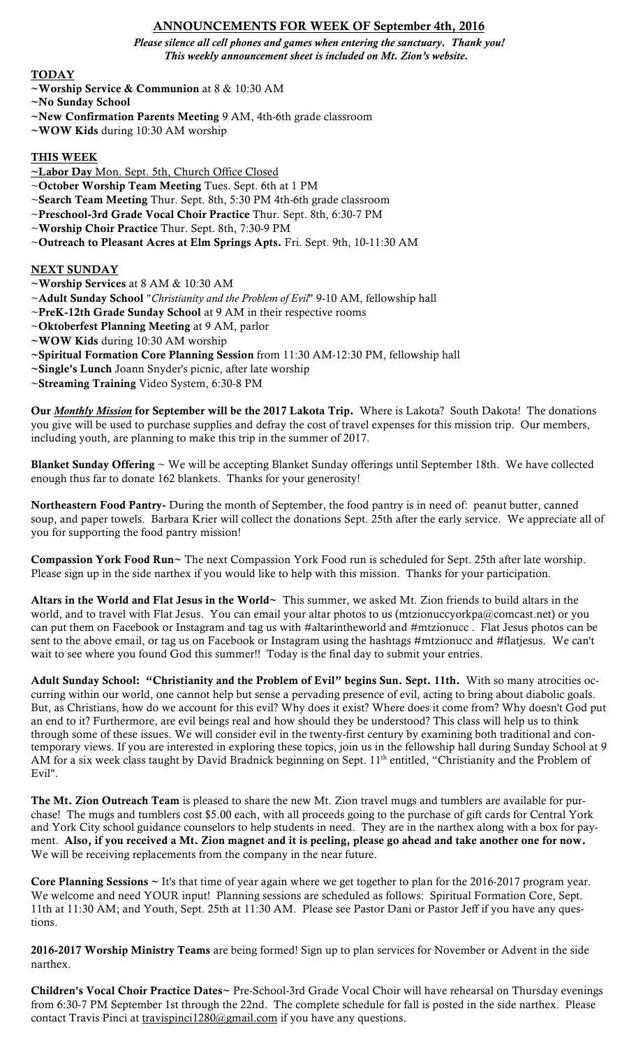# ANNOUNCEMENTS FOR WEEK OF September 4th, 2016

*Please silence all cell phones and games when entering the sanctuary. Thank you! This weekly announcement sheet is included on Mt. Zion's website.*

#### **TODAY**

- ~Worship Service & Communion at 8 & 10:30 AM
- ~No Sunday School
- ~New Confirmation Parents Meeting 9 AM, 4th-6th grade classroom
- ~WOW Kids during 10:30 AM worship

#### THIS WEEK

- ~Labor Day Mon. Sept. 5th, Church Office Closed
- ~October Worship Team Meeting Tues. Sept. 6th at 1 PM
- ~Search Team Meeting Thur. Sept. 8th, 5:30 PM 4th-6th grade classroom
- ~Preschool-3rd Grade Vocal Choir Practice Thur. Sept. 8th, 6:30-7 PM
- ~Worship Choir Practice Thur. Sept. 8th, 7:30-9 PM
- ~Outreach to Pleasant Acres at Elm Springs Apts. Fri. Sept. 9th, 10-11:30 AM

## NEXT SUNDAY

- ~Worship Services at 8 AM & 10:30 AM
- ~Adult Sunday School "*Christianity and the Problem of Evil*" 9-10 AM, fellowship hall
- ~PreK-12th Grade Sunday School at 9 AM in their respective rooms
- ~Oktoberfest Planning Meeting at 9 AM, parlor
- ~WOW Kids during 10:30 AM worship
- ~Spiritual Formation Core Planning Session from 11:30 AM-12:30 PM, fellowship hall
- ~Single's Lunch Joann Snyder's picnic, after late worship
- ~Streaming Training Video System, 6:30-8 PM

Our *Monthly Mission* for September will be the 2017 Lakota Trip. Where is Lakota? South Dakota! The donations you give will be used to purchase supplies and defray the cost of travel expenses for this mission trip. Our members, including youth, are planning to make this trip in the summer of 2017.

Blanket Sunday Offering ~ We will be accepting Blanket Sunday offerings until September 18th. We have collected enough thus far to donate 162 blankets. Thanks for your generosity!

Northeastern Food Pantry- During the month of September, the food pantry is in need of: peanut butter, canned soup, and paper towels. Barbara Krier will collect the donations Sept. 25th after the early service. We appreciate all of you for supporting the food pantry mission!

Compassion York Food Run~ The next Compassion York Food run is scheduled for Sept. 25th after late worship. Please sign up in the side narthex if you would like to help with this mission. Thanks for your participation.

Altars in the World and Flat Jesus in the World~ This summer, we asked Mt. Zion friends to build altars in the world, and to travel with Flat Jesus. You can email your altar photos to us (mtzionuccyorkpa@comcast.net) or you can put them on Facebook or Instagram and tag us with #altarintheworld and #mtzionucc . Flat Jesus photos can be sent to the above email, or tag us on Facebook or Instagram using the hashtags #mtzionucc and #flatjesus. We can't wait to see where you found God this summer!! Today is the final day to submit your entries.

Adult Sunday School: "Christianity and the Problem of Evil" begins Sun. Sept. 11th. With so many atrocities occurring within our world, one cannot help but sense a pervading presence of evil, acting to bring about diabolic goals. But, as Christians, how do we account for this evil? Why does it exist? Where does it come from? Why doesn't God put an end to it? Furthermore, are evil beings real and how should they be understood? This class will help us to think through some of these issues. We will consider evil in the twenty-first century by examining both traditional and contemporary views. If you are interested in exploring these topics, join us in the fellowship hall during Sunday School at 9 AM for a six week class taught by David Bradnick beginning on Sept. 11<sup>th</sup> entitled, "Christianity and the Problem of Evil".

The Mt. Zion Outreach Team is pleased to share the new Mt. Zion travel mugs and tumblers are available for purchase! The mugs and tumblers cost \$5.00 each, with all proceeds going to the purchase of gift cards for Central York and York City school guidance counselors to help students in need. They are in the narthex along with a box for payment. Also, if you received a Mt. Zion magnet and it is peeling, please go ahead and take another one for now. We will be receiving replacements from the company in the near future.

Core Planning Sessions ~ It's that time of year again where we get together to plan for the 2016-2017 program year. We welcome and need YOUR input! Planning sessions are scheduled as follows: Spiritual Formation Core, Sept. 11th at 11:30 AM; and Youth, Sept. 25th at 11:30 AM. Please see Pastor Dani or Pastor Jeff if you have any questions.

2016-2017 Worship Ministry Teams are being formed! Sign up to plan services for November or Advent in the side narthex.

Children's Vocal Choir Practice Dates~ Pre-School-3rd Grade Vocal Choir will have rehearsal on Thursday evenings from 6:30-7 PM September 1st through the 22nd. The complete schedule for fall is posted in the side narthex. Please contact Travis Pinci at travispinci1280@gmail.com if you have any questions.